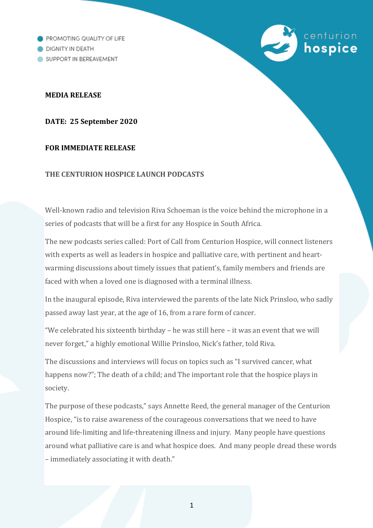PROMOTING QUALITY OF LIFE DIGNITY IN DEATH SUPPORT IN BEREAVEMENT

## **MEDIA RELEASE**

**DATE: 25 September 2020** 

# **FOR IMMEDIATE RELEASE**

## **THE CENTURION HOSPICE LAUNCH PODCASTS**

Well-known radio and television Riva Schoeman is the voice behind the microphone in a series of podcasts that will be a first for any Hospice in South Africa.

centurion

hospice

The new podcasts series called: Port of Call from Centurion Hospice, will connect listeners with experts as well as leaders in hospice and palliative care, with pertinent and heartwarming discussions about timely issues that patient's, family members and friends are faced with when a loved one is diagnosed with a terminal illness.

In the inaugural episode, Riva interviewed the parents of the late Nick Prinsloo, who sadly passed away last year, at the age of 16, from a rare form of cancer.

"We celebrated his sixteenth birthday – he was still here – it was an event that we will never forget," a highly emotional Willie Prinsloo, Nick's father, told Riva.

The discussions and interviews will focus on topics such as "I survived cancer, what happens now?": The death of a child: and The important role that the hospice plays in society.

The purpose of these podcasts," says Annette Reed, the general manager of the Centurion Hospice, "is to raise awareness of the courageous conversations that we need to have around life-limiting and life-threatening illness and injury. Many people have questions around what palliative care is and what hospice does. And many people dread these words – immediately associating it with death."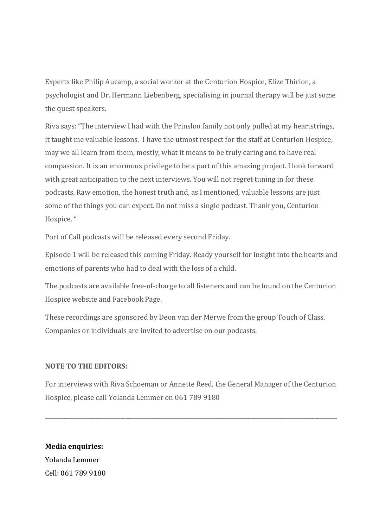Experts like Philip Aucamp, a social worker at the Centurion Hospice, Elize Thirion, a psychologist and Dr. Hermann Liebenberg, specialising in journal therapy will be just some the quest speakers.

Riva says: "The interview I had with the Prinsloo family not only pulled at my heartstrings, it taught me valuable lessons. I have the utmost respect for the staff at Centurion Hospice, may we all learn from them, mostly, what it means to be truly caring and to have real compassion. It is an enormous privilege to be a part of this amazing project. I look forward with great anticipation to the next interviews. You will not regret tuning in for these podcasts. Raw emotion, the honest truth and, as I mentioned, valuable lessons are just some of the things you can expect. Do not miss a single podcast. Thank you, Centurion Hospice. "

Port of Call podcasts will be released every second Friday.

Episode 1 will be released this coming Friday. Ready yourself for insight into the hearts and emotions of parents who had to deal with the loss of a child.

The podcasts are available free-of-charge to all listeners and can be found on the Centurion Hospice website and Facebook Page.

These recordings are sponsored by Deon van der Merwe from the group Touch of Class. Companies or individuals are invited to advertise on our podcasts.

## **NOTE TO THE EDITORS:**

For interviews with Riva Schoeman or Annette Reed, the General Manager of the Centurion Hospice, please call Yolanda Lemmer on 061 789 9180

\_\_\_\_\_\_\_\_\_\_\_\_\_\_\_\_\_\_\_\_\_\_\_\_\_\_\_\_\_\_\_\_\_\_\_\_\_\_\_\_\_\_\_\_\_\_\_\_\_\_\_\_\_\_\_\_\_\_\_\_\_\_\_\_\_\_\_\_\_\_\_\_\_\_\_\_\_\_\_\_\_\_\_\_\_\_\_\_\_\_\_\_\_\_\_\_\_\_\_\_\_\_\_\_\_

**Media enquiries:**  Yolanda Lemmer Cell: 061 789 9180